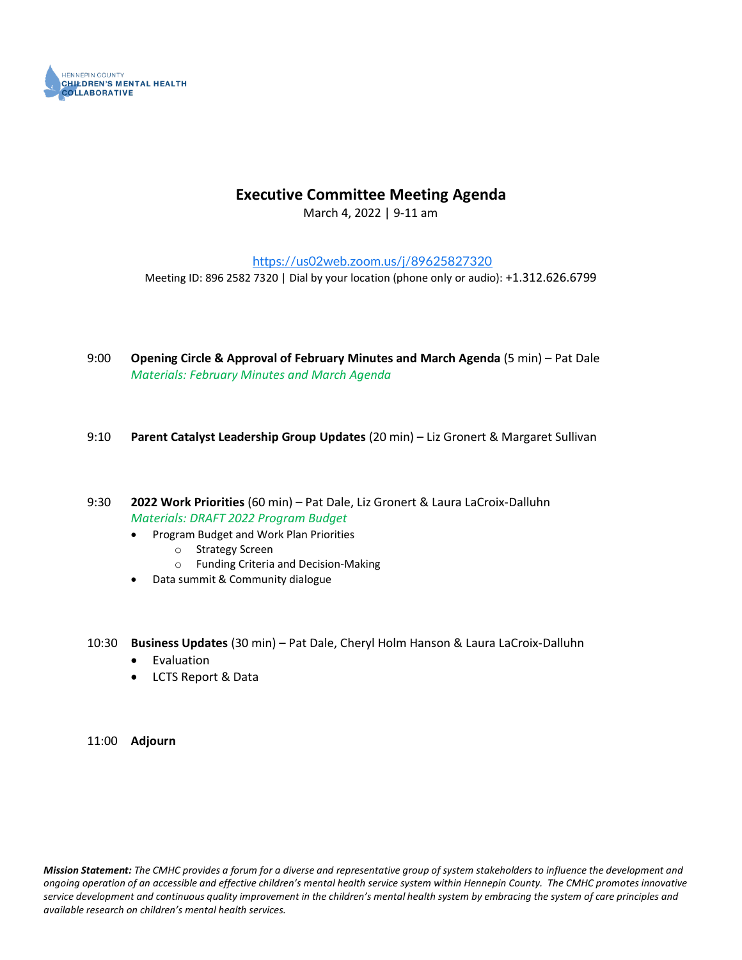

#### **Executive Committee Meeting Agenda**

March 4, 2022 | 9-11 am

<https://us02web.zoom.us/j/89625827320>

Meeting ID: 896 2582 7320 | Dial by your location (phone only or audio): +1.312.626.6799

- 9:00 **Opening Circle & Approval of February Minutes and March Agenda** (5 min) Pat Dale *Materials: February Minutes and March Agenda*
- 9:10 **Parent Catalyst Leadership Group Updates** (20 min) Liz Gronert & Margaret Sullivan
- 9:30 **2022 Work Priorities** (60 min) Pat Dale, Liz Gronert & Laura LaCroix-Dalluhn *Materials: DRAFT 2022 Program Budget* 
	- Program Budget and Work Plan Priorities
		- o Strategy Screen
		- o Funding Criteria and Decision-Making
	- Data summit & Community dialogue
- 10:30 **Business Updates** (30 min) Pat Dale, Cheryl Holm Hanson & Laura LaCroix-Dalluhn
	- Evaluation
	- LCTS Report & Data

11:00 **Adjourn**

*Mission Statement: The CMHC provides a forum for a diverse and representative group of system stakeholders to influence the development and ongoing operation of an accessible and effective children's mental health service system within Hennepin County. The CMHC promotes innovative service development and continuous quality improvement in the children's mental health system by embracing the system of care principles and available research on children's mental health services.*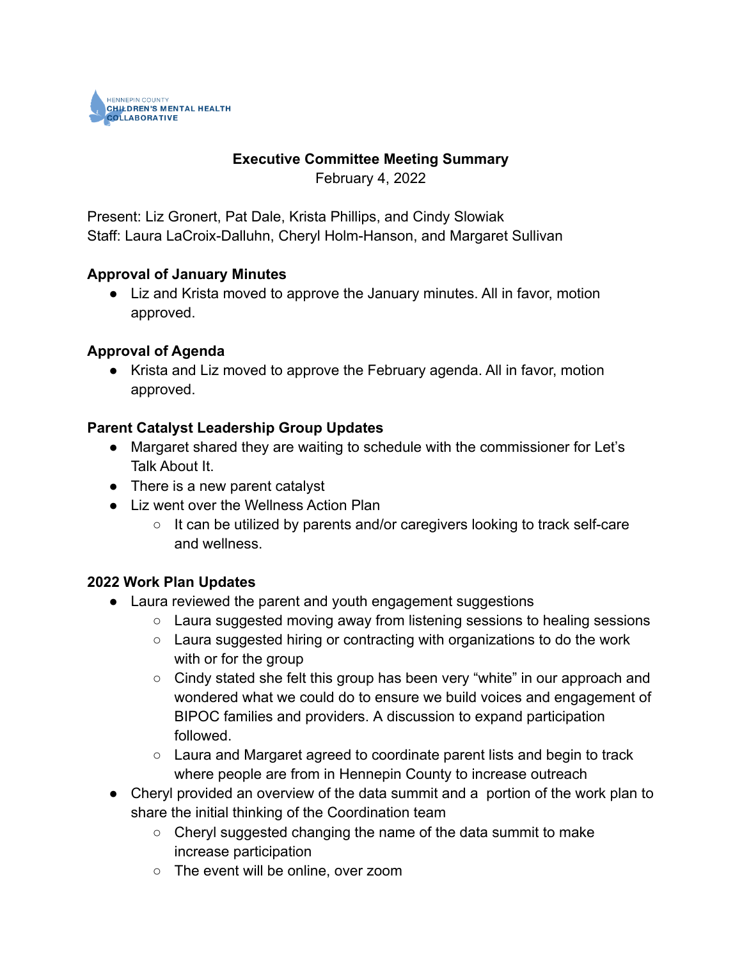

# **Executive Committee Meeting Summary**

February 4, 2022

Present: Liz Gronert, Pat Dale, Krista Phillips, and Cindy Slowiak Staff: Laura LaCroix-Dalluhn, Cheryl Holm-Hanson, and Margaret Sullivan

#### **Approval of January Minutes**

● Liz and Krista moved to approve the January minutes. All in favor, motion approved.

## **Approval of Agenda**

● Krista and Liz moved to approve the February agenda. All in favor, motion approved.

## **Parent Catalyst Leadership Group Updates**

- Margaret shared they are waiting to schedule with the commissioner for Let's Talk About It.
- There is a new parent catalyst
- Liz went over the Wellness Action Plan
	- $\circ$  It can be utilized by parents and/or caregivers looking to track self-care and wellness.

#### **2022 Work Plan Updates**

- Laura reviewed the parent and youth engagement suggestions
	- Laura suggested moving away from listening sessions to healing sessions
	- Laura suggested hiring or contracting with organizations to do the work with or for the group
	- Cindy stated she felt this group has been very "white" in our approach and wondered what we could do to ensure we build voices and engagement of BIPOC families and providers. A discussion to expand participation followed.
	- $\circ$  Laura and Margaret agreed to coordinate parent lists and begin to track where people are from in Hennepin County to increase outreach
- Cheryl provided an overview of the data summit and a portion of the work plan to share the initial thinking of the Coordination team
	- $\circ$  Cheryl suggested changing the name of the data summit to make increase participation
	- The event will be online, over zoom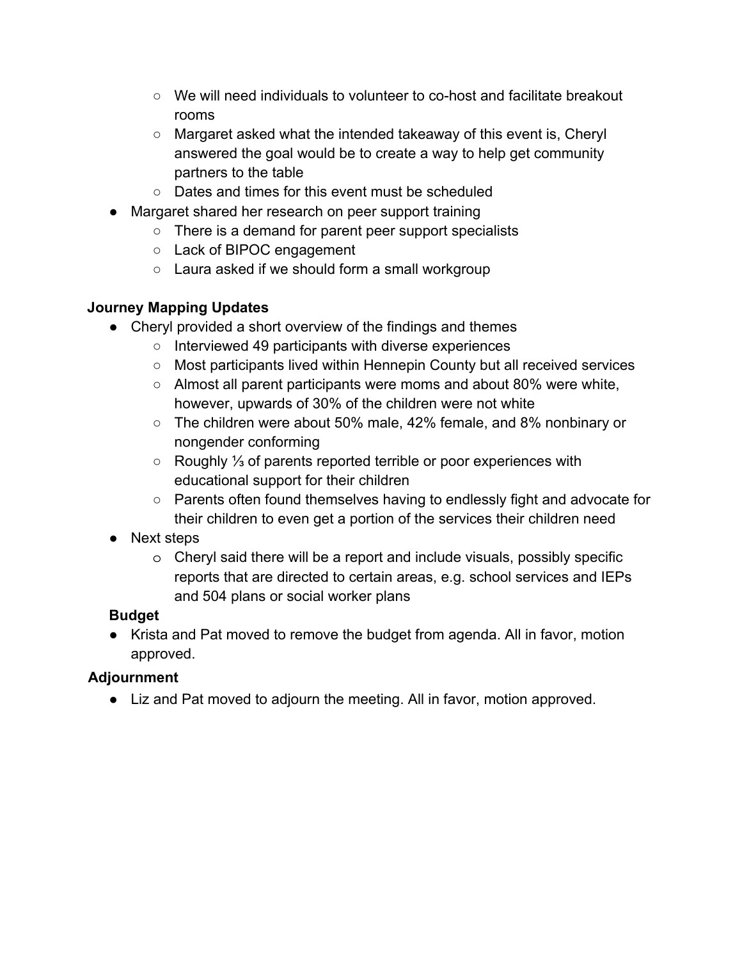- We will need individuals to volunteer to co-host and facilitate breakout rooms
- Margaret asked what the intended takeaway of this event is, Cheryl answered the goal would be to create a way to help get community partners to the table
- Dates and times for this event must be scheduled
- Margaret shared her research on peer support training
	- There is a demand for parent peer support specialists
	- Lack of BIPOC engagement
	- Laura asked if we should form a small workgroup

#### **Journey Mapping Updates**

- Cheryl provided a short overview of the findings and themes
	- Interviewed 49 participants with diverse experiences
	- Most participants lived within Hennepin County but all received services
	- Almost all parent participants were moms and about 80% were white, however, upwards of 30% of the children were not white
	- The children were about 50% male, 42% female, and 8% nonbinary or nongender conforming
	- Roughly ⅓ of parents reported terrible or poor experiences with educational support for their children
	- Parents often found themselves having to endlessly fight and advocate for their children to even get a portion of the services their children need
- Next steps
	- o Cheryl said there will be a report and include visuals, possibly specific reports that are directed to certain areas, e.g. school services and IEPs and 504 plans or social worker plans

# **Budget**

● Krista and Pat moved to remove the budget from agenda. All in favor, motion approved.

#### **Adjournment**

● Liz and Pat moved to adjourn the meeting. All in favor, motion approved.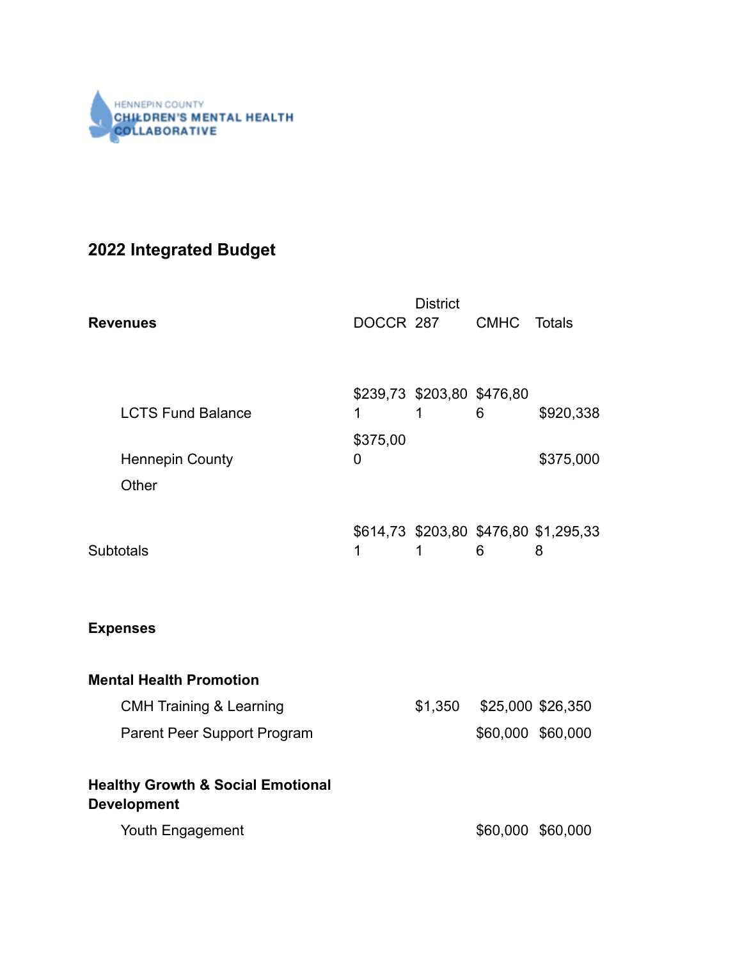

# **2022 Integrated Budget**

| <b>Revenues</b>                                                    |                    | <b>District</b><br>DOCCR 287    | <b>CMHC</b> | Totals                                     |
|--------------------------------------------------------------------|--------------------|---------------------------------|-------------|--------------------------------------------|
| <b>LCTS Fund Balance</b><br><b>Hennepin County</b><br>Other        | 1<br>\$375,00<br>0 | \$239,73 \$203,80 \$476,80<br>1 | 6           | \$920,338<br>\$375,000                     |
| <b>Subtotals</b>                                                   | 1                  | 1                               | 6           | \$614,73 \$203,80 \$476,80 \$1,295,33<br>8 |
| <b>Expenses</b>                                                    |                    |                                 |             |                                            |
| <b>Mental Health Promotion</b>                                     |                    |                                 |             |                                            |
| <b>CMH Training &amp; Learning</b>                                 |                    | \$1,350                         |             | \$25,000 \$26,350                          |
| Parent Peer Support Program                                        |                    |                                 |             | \$60,000 \$60,000                          |
| <b>Healthy Growth &amp; Social Emotional</b><br><b>Development</b> |                    |                                 |             |                                            |
| Youth Engagement                                                   |                    |                                 |             | \$60,000 \$60,000                          |